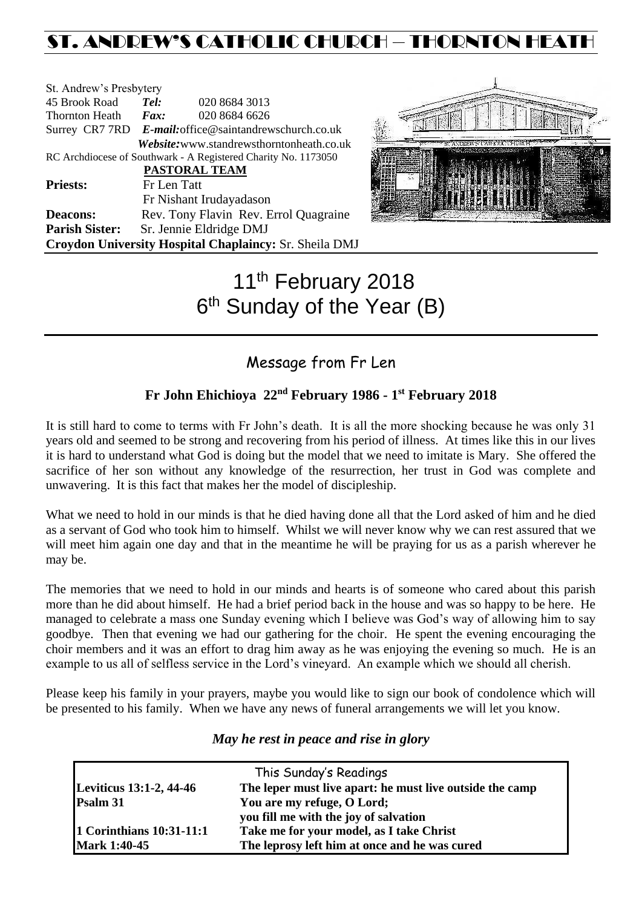# ST. ANDREW'S CATHOLIC CHURCH – THORNTON HEAT

| St. Andrew's Presbytery                                        |                                                        |                                           |  |  |
|----------------------------------------------------------------|--------------------------------------------------------|-------------------------------------------|--|--|
| 45 Brook Road                                                  | Tel:                                                   | 020 8684 3013                             |  |  |
| <b>Thornton Heath</b>                                          | $\boldsymbol{Fax:}$                                    | 020 8684 6626                             |  |  |
|                                                                | Surrey CR7 7RD E-mail: office@saintandrewschurch.co.uk |                                           |  |  |
|                                                                |                                                        | Website: www.standrewsthorntonheath.co.uk |  |  |
| RC Archdiocese of Southwark - A Registered Charity No. 1173050 |                                                        |                                           |  |  |
| <b>PASTORAL TEAM</b>                                           |                                                        |                                           |  |  |
| <b>Priests:</b>                                                | Fr Len Tatt                                            |                                           |  |  |
|                                                                |                                                        | Fr Nishant Irudayadason                   |  |  |
| <b>Deacons:</b>                                                | Rev. Tony Flavin Rev. Errol Quagraine                  |                                           |  |  |
| <b>Parish Sister:</b>                                          |                                                        | Sr. Jennie Eldridge DMJ                   |  |  |
| Croydon University Hospital Chaplaincy: Sr. Sheila DMJ         |                                                        |                                           |  |  |



# 11<sup>th</sup> February 2018 6<sup>th</sup> Sunday of the Year (B)

# Message from Fr Len

## **Fr John Ehichioya 22nd February 1986 - 1 st February 2018**

It is still hard to come to terms with Fr John's death. It is all the more shocking because he was only 31 years old and seemed to be strong and recovering from his period of illness. At times like this in our lives it is hard to understand what God is doing but the model that we need to imitate is Mary. She offered the sacrifice of her son without any knowledge of the resurrection, her trust in God was complete and unwavering. It is this fact that makes her the model of discipleship.

What we need to hold in our minds is that he died having done all that the Lord asked of him and he died as a servant of God who took him to himself. Whilst we will never know why we can rest assured that we will meet him again one day and that in the meantime he will be praying for us as a parish wherever he may be.

The memories that we need to hold in our minds and hearts is of someone who cared about this parish more than he did about himself. He had a brief period back in the house and was so happy to be here. He managed to celebrate a mass one Sunday evening which I believe was God's way of allowing him to say goodbye. Then that evening we had our gathering for the choir. He spent the evening encouraging the choir members and it was an effort to drag him away as he was enjoying the evening so much. He is an example to us all of selfless service in the Lord's vineyard. An example which we should all cherish.

Please keep his family in your prayers, maybe you would like to sign our book of condolence which will be presented to his family. When we have any news of funeral arrangements we will let you know.

|                          | This Sunday's Readings                                   |  |
|--------------------------|----------------------------------------------------------|--|
| Leviticus 13:1-2, 44-46  | The leper must live apart: he must live outside the camp |  |
| Psalm 31                 | You are my refuge, O Lord;                               |  |
|                          | you fill me with the joy of salvation                    |  |
| 1 Corinthians 10:31-11:1 | Take me for your model, as I take Christ                 |  |
| <b>Mark 1:40-45</b>      | The leprosy left him at once and he was cured            |  |

### *May he rest in peace and rise in glory*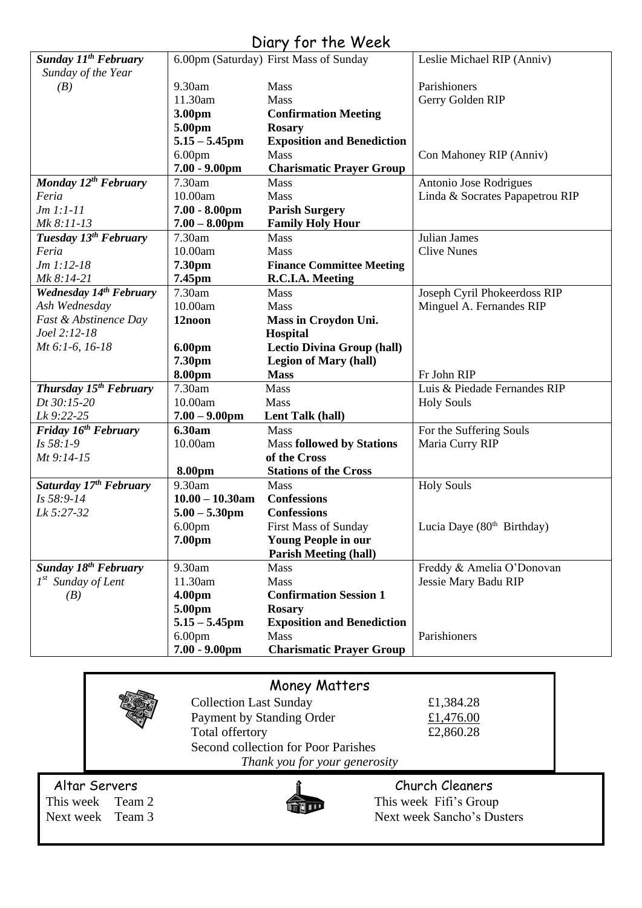# Diary for the Week

| <b>Sunday 11th February</b>        |                    | 6.00pm (Saturday) First Mass of Sunday | Leslie Michael RIP (Anniv)             |
|------------------------------------|--------------------|----------------------------------------|----------------------------------------|
| Sunday of the Year                 |                    |                                        |                                        |
| (B)                                | 9.30am             | Mass                                   | Parishioners                           |
|                                    | 11.30am            | Mass                                   | Gerry Golden RIP                       |
|                                    | 3.00pm             | <b>Confirmation Meeting</b>            |                                        |
|                                    | 5.00pm             | <b>Rosary</b>                          |                                        |
|                                    | $5.15 - 5.45$ pm   | <b>Exposition and Benediction</b>      |                                        |
|                                    | 6.00 <sub>pm</sub> | Mass                                   | Con Mahoney RIP (Anniv)                |
|                                    | $7.00 - 9.00$ pm   | <b>Charismatic Prayer Group</b>        |                                        |
| Monday 12 <sup>th</sup> February   | 7.30am             | Mass                                   | Antonio Jose Rodrigues                 |
| Feria                              | 10.00am            | Mass                                   | Linda & Socrates Papapetrou RIP        |
| $Jm 1:1-11$                        | $7.00 - 8.00$ pm   | <b>Parish Surgery</b>                  |                                        |
| Mk 8:11-13                         | $7.00 - 8.00$ pm   | <b>Family Holy Hour</b>                |                                        |
| Tuesday 13 <sup>th</sup> February  | 7.30am             | Mass                                   | Julian James                           |
| Feria                              | 10.00am            | Mass                                   | <b>Clive Nunes</b>                     |
| $Jm 1:12-18$                       | 7.30pm             | <b>Finance Committee Meeting</b>       |                                        |
| Mk 8:14-21                         | 7.45pm             | R.C.I.A. Meeting                       |                                        |
| Wednesday 14th February            | 7.30am             | Mass                                   | Joseph Cyril Phokeerdoss RIP           |
| Ash Wednesday                      | 10.00am            | Mass                                   | Minguel A. Fernandes RIP               |
| Fast & Abstinence Day              | 12noon             | Mass in Croydon Uni.                   |                                        |
| Joel 2:12-18                       |                    | <b>Hospital</b>                        |                                        |
| Mt 6:1-6, 16-18                    | 6.00pm             | <b>Lectio Divina Group (hall)</b>      |                                        |
|                                    | 7.30pm             | <b>Legion of Mary (hall)</b>           |                                        |
|                                    | 8.00pm             | <b>Mass</b>                            | Fr John RIP                            |
| Thursday 15 <sup>th</sup> February | 7.30am             | Mass                                   | Luis & Piedade Fernandes RIP           |
| Dt 30:15-20                        | 10.00am            | Mass                                   | <b>Holy Souls</b>                      |
| Lk 9:22-25                         | $7.00 - 9.00$ pm   | Lent Talk (hall)                       |                                        |
| Friday 16 <sup>th</sup> February   | 6.30am             | Mass                                   | For the Suffering Souls                |
| Is 58:1-9                          | 10.00am            | <b>Mass followed by Stations</b>       | Maria Curry RIP                        |
| Mt 9:14-15                         |                    | of the Cross                           |                                        |
|                                    | 8.00pm             | <b>Stations of the Cross</b>           |                                        |
| Saturday 17th February             | 9.30am             | Mass                                   | <b>Holy Souls</b>                      |
| Is 58:9-14                         | $10.00 - 10.30$ am | <b>Confessions</b>                     |                                        |
| Lk 5:27-32                         | $5.00 - 5.30$ pm   | <b>Confessions</b>                     |                                        |
|                                    | 6.00 <sub>pm</sub> | <b>First Mass of Sunday</b>            | Lucia Daye (80 <sup>th</sup> Birthday) |
|                                    | 7.00pm             | <b>Young People in our</b>             |                                        |
|                                    |                    | <b>Parish Meeting (hall)</b>           |                                        |
| Sunday 18 <sup>th</sup> February   | 9.30am             | Mass                                   | Freddy & Amelia O'Donovan              |
| $1^{st}$ Sunday of Lent            | 11.30am            | Mass                                   | Jessie Mary Badu RIP                   |
| (B)                                | 4.00pm             | <b>Confirmation Session 1</b>          |                                        |
|                                    | 5.00pm             | <b>Rosary</b>                          |                                        |
|                                    | $5.15 - 5.45$ pm   | <b>Exposition and Benediction</b>      |                                        |
|                                    |                    |                                        |                                        |
|                                    | 6.00 <sub>pm</sub> | Mass                                   | Parishioners                           |

|                                                       | Money Matters                                                                                                        |                                                                         |  |  |  |
|-------------------------------------------------------|----------------------------------------------------------------------------------------------------------------------|-------------------------------------------------------------------------|--|--|--|
|                                                       | <b>Collection Last Sunday</b><br>Payment by Standing Order<br>Total offertory<br>Second collection for Poor Parishes | £1,384.28<br>£1,476.00<br>£2,860.28                                     |  |  |  |
| Thank you for your generosity                         |                                                                                                                      |                                                                         |  |  |  |
| Altar Servers<br>This week Team 2<br>Next week Team 3 |                                                                                                                      | Church Cleaners<br>This week Fifi's Group<br>Next week Sancho's Dusters |  |  |  |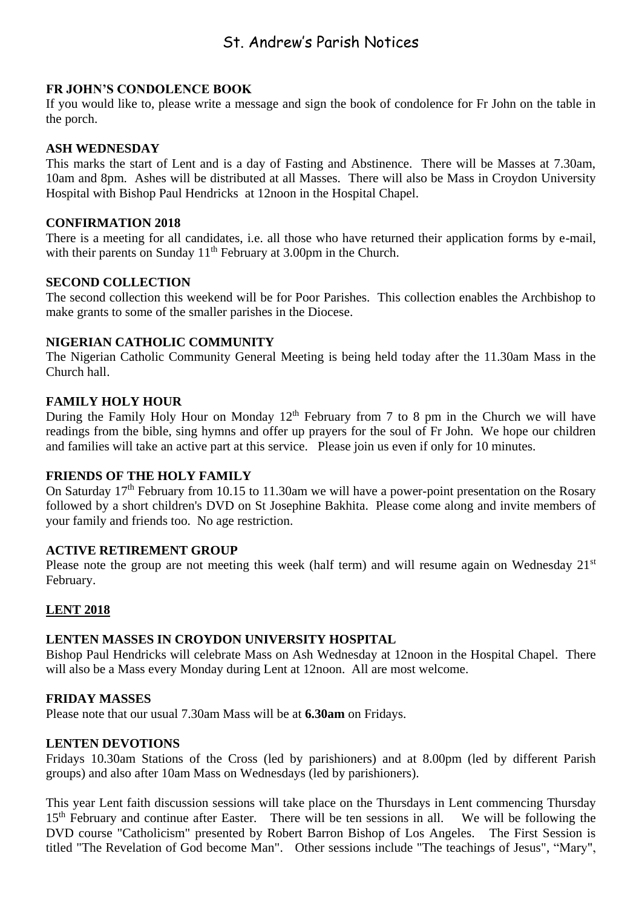# St. Andrew's Parish Notices

#### **FR JOHN'S CONDOLENCE BOOK**

If you would like to, please write a message and sign the book of condolence for Fr John on the table in the porch.

#### **ASH WEDNESDAY**

This marks the start of Lent and is a day of Fasting and Abstinence. There will be Masses at 7.30am, 10am and 8pm. Ashes will be distributed at all Masses. There will also be Mass in Croydon University Hospital with Bishop Paul Hendricks at 12noon in the Hospital Chapel.

#### **CONFIRMATION 2018**

There is a meeting for all candidates, i.e. all those who have returned their application forms by e-mail, with their parents on Sunday 11<sup>th</sup> February at 3.00pm in the Church.

#### **SECOND COLLECTION**

The second collection this weekend will be for Poor Parishes. This collection enables the Archbishop to make grants to some of the smaller parishes in the Diocese.

#### **NIGERIAN CATHOLIC COMMUNITY**

The Nigerian Catholic Community General Meeting is being held today after the 11.30am Mass in the Church hall.

#### **FAMILY HOLY HOUR**

During the Family Holy Hour on Monday  $12<sup>th</sup>$  February from 7 to 8 pm in the Church we will have readings from the bible, sing hymns and offer up prayers for the soul of Fr John. We hope our children and families will take an active part at this service. Please join us even if only for 10 minutes.

#### **FRIENDS OF THE HOLY FAMILY**

On Saturday 17<sup>th</sup> February from 10.15 to 11.30am we will have a power-point presentation on the Rosary followed by a short children's DVD on St Josephine Bakhita. Please come along and invite members of your family and friends too. No age restriction.

#### **ACTIVE RETIREMENT GROUP**

Please note the group are not meeting this week (half term) and will resume again on Wednesday 21<sup>st</sup> February.

#### **LENT 2018**

#### **LENTEN MASSES IN CROYDON UNIVERSITY HOSPITAL**

Bishop Paul Hendricks will celebrate Mass on Ash Wednesday at 12noon in the Hospital Chapel. There will also be a Mass every Monday during Lent at 12noon. All are most welcome.

#### **FRIDAY MASSES**

Please note that our usual 7.30am Mass will be at **6.30am** on Fridays.

#### **LENTEN DEVOTIONS**

Fridays 10.30am Stations of the Cross (led by parishioners) and at 8.00pm (led by different Parish groups) and also after 10am Mass on Wednesdays (led by parishioners).

This year Lent faith discussion sessions will take place on the Thursdays in Lent commencing Thursday 15<sup>th</sup> February and continue after Easter. There will be ten sessions in all. We will be following the DVD course "Catholicism" presented by Robert Barron Bishop of Los Angeles. The First Session is titled "The Revelation of God become Man". Other sessions include "The teachings of Jesus", "Mary",